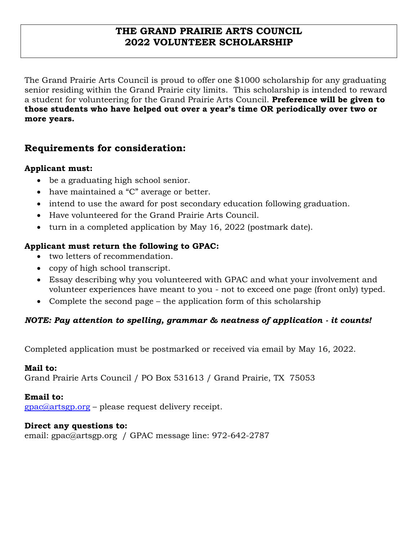## **THE GRAND PRAIRIE ARTS COUNCIL 2022 VOLUNTEER SCHOLARSHIP**

The Grand Prairie Arts Council is proud to offer one \$1000 scholarship for any graduating senior residing within the Grand Prairie city limits. This scholarship is intended to reward a student for volunteering for the Grand Prairie Arts Council. **Preference will be given to those students who have helped out over a year's time OR periodically over two or more years.**

# **Requirements for consideration:**

### **Applicant must:**

- be a graduating high school senior.
- have maintained a "C" average or better.
- intend to use the award for post secondary education following graduation.
- Have volunteered for the Grand Prairie Arts Council.
- turn in a completed application by May 16, 2022 (postmark date).

### **Applicant must return the following to GPAC:**

- two letters of recommendation.
- copy of high school transcript.
- Essay describing why you volunteered with GPAC and what your involvement and volunteer experiences have meant to you - not to exceed one page (front only) typed.
- Complete the second page the application form of this scholarship

### *NOTE: Pay attention to spelling, grammar & neatness of application - it counts!*

Completed application must be postmarked or received via email by May 16, 2022.

#### **Mail to:**

Grand Prairie Arts Council / PO Box 531613 / Grand Prairie, TX 75053

#### **Email to:**

 $\frac{g}{\text{pac}}$ @artsgp.org – please request delivery receipt.

#### **Direct any questions to:**

email: gpac@artsgp.org / GPAC message line: 972-642-2787